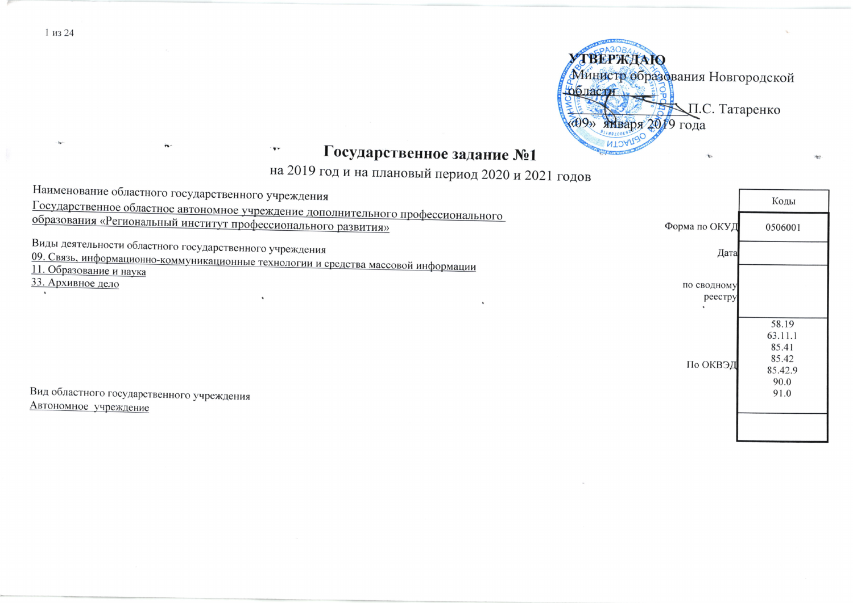

## Государственное задание №1

на 2019 год и на плановый период 2020 и 2021 годов

| наименование ооластного государственного учреждения                                                            | Коды           |
|----------------------------------------------------------------------------------------------------------------|----------------|
| Государственное областное автономное учреждение дополнительного профессионального                              |                |
| образования «Региональный институт профессионального развития»<br>Форма по ОКУД                                | 0506001        |
| Виды деятельности областного государственного учреждения<br>Дата                                               |                |
| 09. Связь, информационно-коммуникационные технологии и средства массовой информации<br>11. Образование и наука |                |
| 33. Архивное дело<br>по сводному                                                                               |                |
| реестру                                                                                                        |                |
|                                                                                                                |                |
|                                                                                                                | 58.19          |
|                                                                                                                | 63.11.1        |
|                                                                                                                | 85.41<br>85.42 |
| По ОКВЭД                                                                                                       | 85.42.9        |
|                                                                                                                | 90.0           |
| Вид областного государственного учреждения                                                                     | 91.0           |
| Автономное учреждение                                                                                          |                |
|                                                                                                                |                |
|                                                                                                                |                |

1 из 24

TT.

'n.